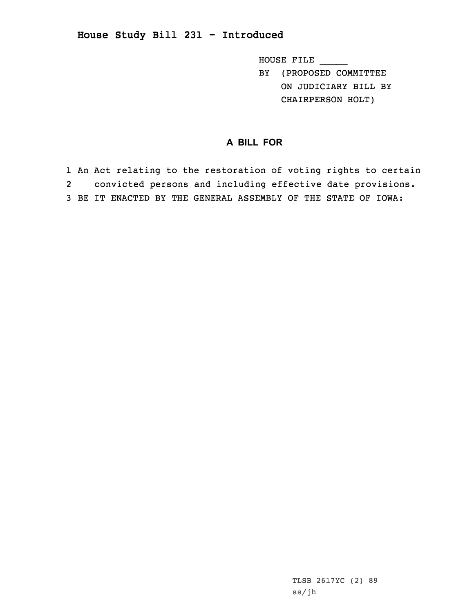## **House Study Bill 231 - Introduced**

HOUSE FILE \_\_\_\_\_ BY (PROPOSED COMMITTEE ON JUDICIARY BILL BY CHAIRPERSON HOLT)

## **A BILL FOR**

1 An Act relating to the restoration of voting rights to certain 2 convicted persons and including effective date provisions. 3 BE IT ENACTED BY THE GENERAL ASSEMBLY OF THE STATE OF IOWA:

> TLSB 2617YC (2) 89 ss/jh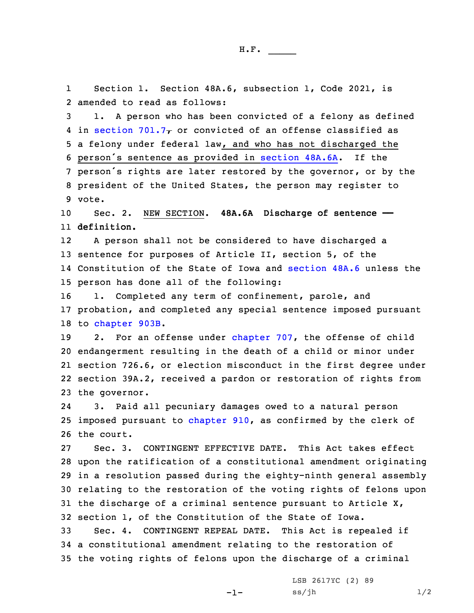1 Section 1. Section 48A.6, subsection 1, Code 2021, is 2 amended to read as follows:

 1. <sup>A</sup> person who has been convicted of <sup>a</sup> felony as defined 4 in [section](https://www.legis.iowa.gov/docs/code/2021/701.7.pdf) 701.7 $\tau$  or convicted of an offense classified as <sup>a</sup> felony under federal law, and who has not discharged the person's sentence as provided in [section](https://www.legis.iowa.gov/docs/code/2021/48A.6A.pdf) 48A.6A. If the person's rights are later restored by the governor, or by the president of the United States, the person may register to 9 vote.

10 Sec. 2. NEW SECTION. **48A.6A Discharge of sentence ——** 11 **definition.**

12 <sup>A</sup> person shall not be considered to have discharged <sup>a</sup> 13 sentence for purposes of Article II, section 5, of the 14 Constitution of the State of Iowa and [section](https://www.legis.iowa.gov/docs/code/2021/48A.6.pdf) 48A.6 unless the 15 person has done all of the following:

16 1. Completed any term of confinement, parole, and 17 probation, and completed any special sentence imposed pursuant 18 to [chapter](https://www.legis.iowa.gov/docs/code/2021/903B.pdf) 903B.

19 2. For an offense under [chapter](https://www.legis.iowa.gov/docs/code/2021/707.pdf) 707, the offense of child endangerment resulting in the death of <sup>a</sup> child or minor under section 726.6, or election misconduct in the first degree under section 39A.2, received <sup>a</sup> pardon or restoration of rights from the governor.

24 3. Paid all pecuniary damages owed to <sup>a</sup> natural person 25 imposed pursuant to [chapter](https://www.legis.iowa.gov/docs/code/2021/910.pdf) 910, as confirmed by the clerk of 26 the court.

 Sec. 3. CONTINGENT EFFECTIVE DATE. This Act takes effect upon the ratification of <sup>a</sup> constitutional amendment originating in <sup>a</sup> resolution passed during the eighty-ninth general assembly relating to the restoration of the voting rights of felons upon the discharge of <sup>a</sup> criminal sentence pursuant to Article X, section 1, of the Constitution of the State of Iowa.

33 Sec. 4. CONTINGENT REPEAL DATE. This Act is repealed if 34 <sup>a</sup> constitutional amendment relating to the restoration of 35 the voting rights of felons upon the discharge of <sup>a</sup> criminal

 $-1-$ 

LSB 2617YC (2) 89  $ss/jh$   $1/2$